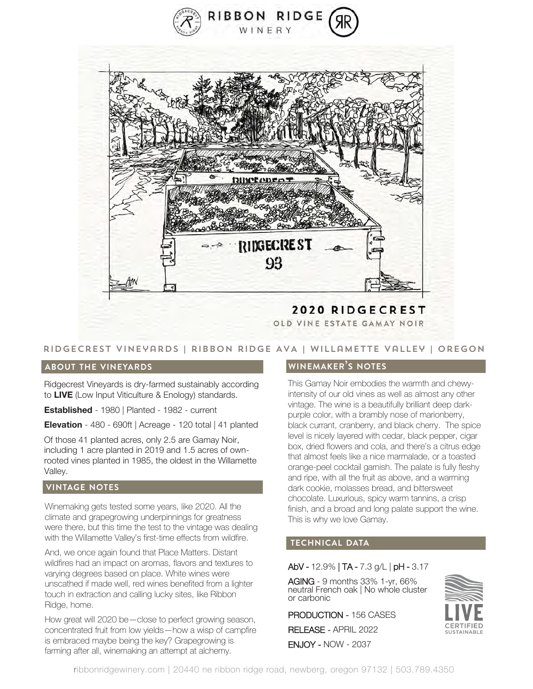



## ridgecrest vineyards | ribbon ridge AVA | willamette Valley | Oregon

#### **about the vineyards**

Ridgecrest Vineyards is dry-farmed sustainably according to **LIVE** (Low Input Viticulture & Enology) standards.

**Established** - 1980 | Planted - 1982 - current

**Elevation** - 480 - 690ft | Acreage - 120 total | 41 planted

Of those 41 planted acres, only 2.5 are Gamay Noir, including 1 acre planted in 2019 and 1.5 acres of ownrooted vines planted in 1985, the oldest in the Willamette Valley.

### **vintage notes**

Winemaking gets tested some years, like 2020. All the climate and grapegrowing underpinnings for greatness were there, but this time the test to the vintage was dealing with the Willamette Valley's first-time effects from wildfire.

And, we once again found that Place Matters. Distant wildfires had an impact on aromas, flavors and textures to varying degrees based on place. White wines were unscathed if made well, red wines benefited from a lighter touch in extraction and calling lucky sites, like Ribbon Ridge, home.

How great will 2020 be—close to perfect growing season, concentrated fruit from low yields—how a wisp of campfire is embraced maybe being the key? Grapegrowing is farming after all, winemaking an attempt at alchemy.

### **winemaker's notes**

This Gamay Noir embodies the warmth and chewyintensity of our old vines as well as almost any other vintage. The wine is a beautifully brilliant deep darkpurple color, with a brambly nose of marionberry, black currant, cranberry, and black cherry. The spice level is nicely layered with cedar, black pepper, cigar box, dried flowers and cola, and there's a citrus edge that almost feels like a nice marmalade, or a toasted orange-peel cocktail garnish. The palate is fully fleshy and ripe, with all the fruit as above, and a warming dark cookie, molasses bread, and bittersweet chocolate. Luxurious, spicy warm tannins, a crisp finish, and a broad and long palate support the wine. This is why we love Gamay.

## **technical data**

#### AbV - 12.9% | TA - 7.3 g/L | pH - 3.17

AGING - 9 months 33% 1-yr, 66% neutral French oak | No whole cluster or carbonic

PRODUCTION - 156 CASES RELEASE - APRIL 2022

ENJOY - NOW - 2037